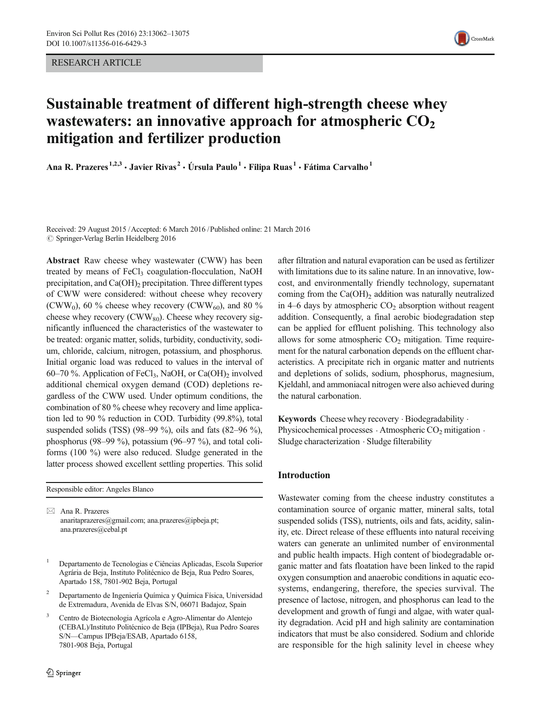RESEARCH ARTICLE



# Sustainable treatment of different high-strength cheese whey wastewaters: an innovative approach for atmospheric  $CO<sub>2</sub>$ mitigation and fertilizer production

Ana R. Prazeres<sup>1,2,3</sup> • Javier Rivas<sup>2</sup> • Úrsula Paulo<sup>1</sup> • Filipa Ruas<sup>1</sup> • Fátima Carvalho<sup>1</sup>

Received: 29 August 2015 /Accepted: 6 March 2016 /Published online: 21 March 2016  $\oslash$  Springer-Verlag Berlin Heidelberg 2016

Abstract Raw cheese whey wastewater (CWW) has been treated by means of FeCl<sub>3</sub> coagulation-flocculation, NaOH precipitation, and  $Ca(OH)_2$  precipitation. Three different types of CWW were considered: without cheese whey recovery (CWW<sub>0</sub>), 60 % cheese whey recovery (CWW<sub>60</sub>), and 80 % cheese whey recovery (CWW $_{80}$ ). Cheese whey recovery significantly influenced the characteristics of the wastewater to be treated: organic matter, solids, turbidity, conductivity, sodium, chloride, calcium, nitrogen, potassium, and phosphorus. Initial organic load was reduced to values in the interval of 60–70 %. Application of FeCl<sub>3</sub>, NaOH, or Ca(OH)<sub>2</sub> involved additional chemical oxygen demand (COD) depletions regardless of the CWW used. Under optimum conditions, the combination of 80 % cheese whey recovery and lime application led to 90 % reduction in COD. Turbidity (99.8%), total suspended solids (TSS) (98–99 %), oils and fats (82–96 %), phosphorus (98–99 %), potassium (96–97 %), and total coliforms (100 %) were also reduced. Sludge generated in the latter process showed excellent settling properties. This solid

Responsible editor: Angeles Blanco  $\boxtimes$  Ana R. Prazeres anaritaprazeres@gmail.com; ana.prazeres@ipbeja.pt; ana.prazeres@cebal.pt

- <sup>1</sup> Departamento de Tecnologias e Ciências Aplicadas, Escola Superior Agrária de Beja, Instituto Politécnico de Beja, Rua Pedro Soares, Apartado 158, 7801-902 Beja, Portugal
- <sup>2</sup> Departamento de Ingeniería Química y Química Física, Universidad de Extremadura, Avenida de Elvas S/N, 06071 Badajoz, Spain
- <sup>3</sup> Centro de Biotecnologia Agrícola e Agro-Alimentar do Alentejo (CEBAL)/Instituto Politécnico de Beja (IPBeja), Rua Pedro Soares S/N—Campus IPBeja/ESAB, Apartado 6158, 7801-908 Beja, Portugal

after filtration and natural evaporation can be used as fertilizer with limitations due to its saline nature. In an innovative, lowcost, and environmentally friendly technology, supernatant coming from the  $Ca(OH)$ <sub>2</sub> addition was naturally neutralized in 4–6 days by atmospheric  $CO<sub>2</sub>$  absorption without reagent addition. Consequently, a final aerobic biodegradation step can be applied for effluent polishing. This technology also allows for some atmospheric  $CO<sub>2</sub>$  mitigation. Time requirement for the natural carbonation depends on the effluent characteristics. A precipitate rich in organic matter and nutrients and depletions of solids, sodium, phosphorus, magnesium, Kjeldahl, and ammoniacal nitrogen were also achieved during the natural carbonation.

Keywords Cheese whey recovery  $\cdot$  Biodegradability  $\cdot$ Physicochemical processes  $\cdot$  Atmospheric CO<sub>2</sub> mitigation  $\cdot$ Sludge characterization . Sludge filterability

# Introduction

Wastewater coming from the cheese industry constitutes a contamination source of organic matter, mineral salts, total suspended solids (TSS), nutrients, oils and fats, acidity, salinity, etc. Direct release of these effluents into natural receiving waters can generate an unlimited number of environmental and public health impacts. High content of biodegradable organic matter and fats floatation have been linked to the rapid oxygen consumption and anaerobic conditions in aquatic ecosystems, endangering, therefore, the species survival. The presence of lactose, nitrogen, and phosphorus can lead to the development and growth of fungi and algae, with water quality degradation. Acid pH and high salinity are contamination indicators that must be also considered. Sodium and chloride are responsible for the high salinity level in cheese whey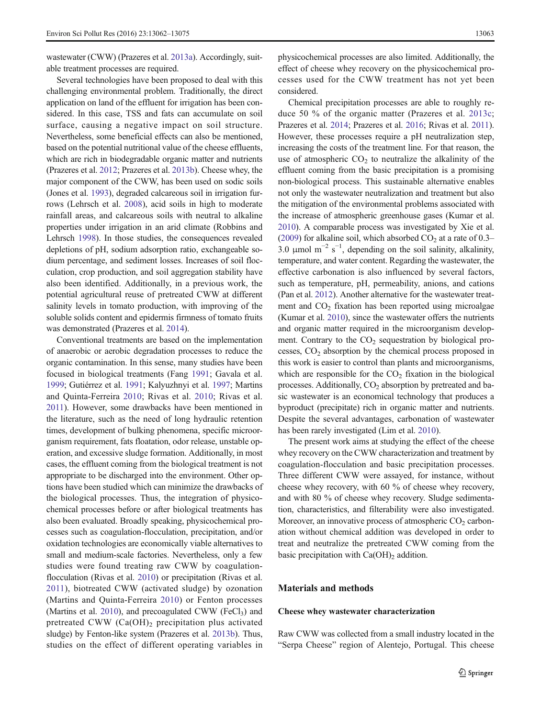wastewater (CWW) (Prazeres et al. [2013a](#page-12-0)). Accordingly, suitable treatment processes are required.

Several technologies have been proposed to deal with this challenging environmental problem. Traditionally, the direct application on land of the effluent for irrigation has been considered. In this case, TSS and fats can accumulate on soil surface, causing a negative impact on soil structure. Nevertheless, some beneficial effects can also be mentioned, based on the potential nutritional value of the cheese effluents, which are rich in biodegradable organic matter and nutrients (Prazeres et al. [2012](#page-12-0); Prazeres et al. [2013b](#page-12-0)). Cheese whey, the major component of the CWW, has been used on sodic soils (Jones et al. [1993\)](#page-12-0), degraded calcareous soil in irrigation furrows (Lehrsch et al. [2008\)](#page-12-0), acid soils in high to moderate rainfall areas, and calcareous soils with neutral to alkaline properties under irrigation in an arid climate (Robbins and Lehrsch [1998\)](#page-13-0). In those studies, the consequences revealed depletions of pH, sodium adsorption ratio, exchangeable sodium percentage, and sediment losses. Increases of soil flocculation, crop production, and soil aggregation stability have also been identified. Additionally, in a previous work, the potential agricultural reuse of pretreated CWW at different salinity levels in tomato production, with improving of the soluble solids content and epidermis firmness of tomato fruits was demonstrated (Prazeres et al. [2014\)](#page-13-0).

Conventional treatments are based on the implementation of anaerobic or aerobic degradation processes to reduce the organic contamination. In this sense, many studies have been focused in biological treatments (Fang [1991;](#page-12-0) Gavala et al. [1999;](#page-12-0) Gutiérrez et al. [1991](#page-12-0); Kalyuzhnyi et al. [1997](#page-12-0); Martins and Quinta-Ferreira [2010](#page-12-0); Rivas et al. [2010;](#page-13-0) Rivas et al. [2011](#page-13-0)). However, some drawbacks have been mentioned in the literature, such as the need of long hydraulic retention times, development of bulking phenomena, specific microorganism requirement, fats floatation, odor release, unstable operation, and excessive sludge formation. Additionally, in most cases, the effluent coming from the biological treatment is not appropriate to be discharged into the environment. Other options have been studied which can minimize the drawbacks of the biological processes. Thus, the integration of physicochemical processes before or after biological treatments has also been evaluated. Broadly speaking, physicochemical processes such as coagulation-flocculation, precipitation, and/or oxidation technologies are economically viable alternatives to small and medium-scale factories. Nevertheless, only a few studies were found treating raw CWW by coagulationflocculation (Rivas et al. [2010](#page-13-0)) or precipitation (Rivas et al. [2011](#page-13-0)), biotreated CWW (activated sludge) by ozonation (Martins and Quinta-Ferreira [2010](#page-12-0)) or Fenton processes (Martins et al. [2010](#page-12-0)), and precoagulated CWW (FeCl<sub>3</sub>) and pretreated CWW  $(Ca(OH)_2)$  precipitation plus activated sludge) by Fenton-like system (Prazeres et al. [2013b\)](#page-12-0). Thus, studies on the effect of different operating variables in physicochemical processes are also limited. Additionally, the effect of cheese whey recovery on the physicochemical processes used for the CWW treatment has not yet been considered.

Chemical precipitation processes are able to roughly reduce 50 % of the organic matter (Prazeres et al. [2013c;](#page-12-0) Prazeres et al. [2014](#page-13-0); Prazeres et al. [2016](#page-13-0); Rivas et al. [2011\)](#page-13-0). However, these processes require a pH neutralization step, increasing the costs of the treatment line. For that reason, the use of atmospheric  $CO<sub>2</sub>$  to neutralize the alkalinity of the effluent coming from the basic precipitation is a promising non-biological process. This sustainable alternative enables not only the wastewater neutralization and treatment but also the mitigation of the environmental problems associated with the increase of atmospheric greenhouse gases (Kumar et al. [2010\)](#page-12-0). A comparable process was investigated by Xie et al. [\(2009\)](#page-13-0) for alkaline soil, which absorbed  $CO<sub>2</sub>$  at a rate of 0.3– 3.0 µmol m<sup>-2</sup> s<sup>-1</sup>, depending on the soil salinity, alkalinity, temperature, and water content. Regarding the wastewater, the effective carbonation is also influenced by several factors, such as temperature, pH, permeability, anions, and cations (Pan et al. [2012](#page-12-0)). Another alternative for the wastewater treatment and  $CO<sub>2</sub>$  fixation has been reported using microalgae (Kumar et al. [2010](#page-12-0)), since the wastewater offers the nutrients and organic matter required in the microorganism development. Contrary to the  $CO<sub>2</sub>$  sequestration by biological processes,  $CO<sub>2</sub>$  absorption by the chemical process proposed in this work is easier to control than plants and microorganisms, which are responsible for the  $CO<sub>2</sub>$  fixation in the biological processes. Additionally, CO<sub>2</sub> absorption by pretreated and basic wastewater is an economical technology that produces a byproduct (precipitate) rich in organic matter and nutrients. Despite the several advantages, carbonation of wastewater has been rarely investigated (Lim et al. [2010\)](#page-12-0).

The present work aims at studying the effect of the cheese whey recovery on the CWW characterization and treatment by coagulation-flocculation and basic precipitation processes. Three different CWW were assayed, for instance, without cheese whey recovery, with 60 % of cheese whey recovery, and with 80 % of cheese whey recovery. Sludge sedimentation, characteristics, and filterability were also investigated. Moreover, an innovative process of atmospheric  $CO<sub>2</sub>$  carbonation without chemical addition was developed in order to treat and neutralize the pretreated CWW coming from the basic precipitation with  $Ca(OH)_2$  addition.

# Materials and methods

#### Cheese whey wastewater characterization

Raw CWW was collected from a small industry located in the "Serpa Cheese" region of Alentejo, Portugal. This cheese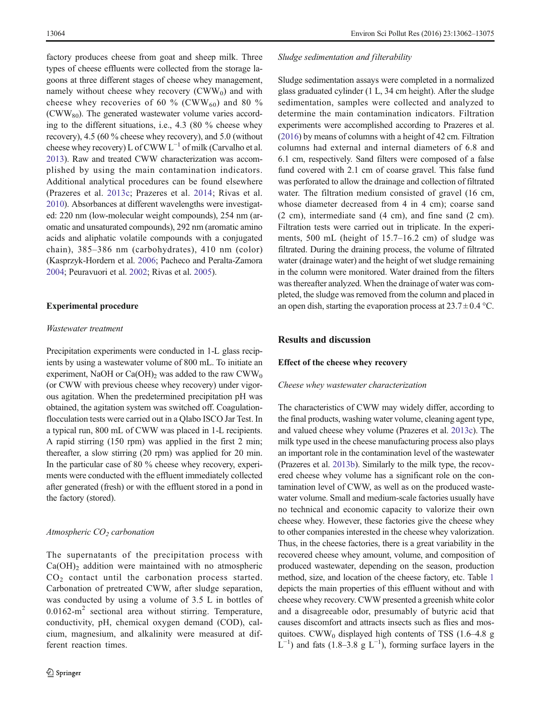factory produces cheese from goat and sheep milk. Three types of cheese effluents were collected from the storage lagoons at three different stages of cheese whey management, namely without cheese whey recovery  $(CWW_0)$  and with cheese whey recoveries of 60 % (CWW<sub>60</sub>) and 80 %  $(CWW_{80})$ . The generated wastewater volume varies according to the different situations, i.e., 4.3 (80 % cheese whey recovery), 4.5 (60 % cheese whey recovery), and 5.0 (without cheese whey recovery) L of CWW L<sup>-1</sup> of milk (Carvalho et al. [2013\)](#page-12-0). Raw and treated CWW characterization was accomplished by using the main contamination indicators. Additional analytical procedures can be found elsewhere (Prazeres et al. [2013c](#page-12-0); Prazeres et al. [2014;](#page-13-0) Rivas et al. [2010\)](#page-13-0). Absorbances at different wavelengths were investigated: 220 nm (low-molecular weight compounds), 254 nm (aromatic and unsaturated compounds), 292 nm (aromatic amino acids and aliphatic volatile compounds with a conjugated chain), 385–386 nm (carbohydrates), 410 nm (color) (Kasprzyk-Hordern et al. [2006](#page-12-0); Pacheco and Peralta-Zamora [2004;](#page-12-0) Peuravuori et al. [2002](#page-12-0); Rivas et al. [2005](#page-13-0)).

# Experimental procedure

#### Wastewater treatment

Precipitation experiments were conducted in 1-L glass recipients by using a wastewater volume of 800 mL. To initiate an experiment, NaOH or Ca(OH)<sub>2</sub> was added to the raw  $CWW_0$ (or CWW with previous cheese whey recovery) under vigorous agitation. When the predetermined precipitation pH was obtained, the agitation system was switched off. Coagulationflocculation tests were carried out in a Qlabo ISCO Jar Test. In a typical run, 800 mL of CWW was placed in 1-L recipients. A rapid stirring (150 rpm) was applied in the first 2 min; thereafter, a slow stirring (20 rpm) was applied for 20 min. In the particular case of 80 % cheese whey recovery, experiments were conducted with the effluent immediately collected after generated (fresh) or with the effluent stored in a pond in the factory (stored).

#### Atmospheric  $CO<sub>2</sub>$  carbonation

The supernatants of the precipitation process with  $Ca(OH)_{2}$  addition were maintained with no atmospheric  $CO<sub>2</sub>$  contact until the carbonation process started. Carbonation of pretreated CWW, after sludge separation, was conducted by using a volume of 3.5 L in bottles of  $0.0162\text{-m}^2$  sectional area without stirring. Temperature, conductivity, pH, chemical oxygen demand (COD), calcium, magnesium, and alkalinity were measured at different reaction times.

#### Sludge sedimentation and filterability

Sludge sedimentation assays were completed in a normalized glass graduated cylinder (1 L, 34 cm height). After the sludge sedimentation, samples were collected and analyzed to determine the main contamination indicators. Filtration experiments were accomplished according to Prazeres et al. [\(2016\)](#page-13-0) by means of columns with a height of 42 cm. Filtration columns had external and internal diameters of 6.8 and 6.1 cm, respectively. Sand filters were composed of a false fund covered with 2.1 cm of coarse gravel. This false fund was perforated to allow the drainage and collection of filtrated water. The filtration medium consisted of gravel (16 cm, whose diameter decreased from 4 in 4 cm); coarse sand (2 cm), intermediate sand (4 cm), and fine sand (2 cm). Filtration tests were carried out in triplicate. In the experiments, 500 mL (height of 15.7–16.2 cm) of sludge was filtrated. During the draining process, the volume of filtrated water (drainage water) and the height of wet sludge remaining in the column were monitored. Water drained from the filters was thereafter analyzed. When the drainage of water was completed, the sludge was removed from the column and placed in an open dish, starting the evaporation process at  $23.7 \pm 0.4$  °C.

# Results and discussion

#### Effect of the cheese whey recovery

## Cheese whey wastewater characterization

The characteristics of CWW may widely differ, according to the final products, washing water volume, cleaning agent type, and valued cheese whey volume (Prazeres et al. [2013c\)](#page-12-0). The milk type used in the cheese manufacturing process also plays an important role in the contamination level of the wastewater (Prazeres et al. [2013b\)](#page-12-0). Similarly to the milk type, the recovered cheese whey volume has a significant role on the contamination level of CWW, as well as on the produced wastewater volume. Small and medium-scale factories usually have no technical and economic capacity to valorize their own cheese whey. However, these factories give the cheese whey to other companies interested in the cheese whey valorization. Thus, in the cheese factories, there is a great variability in the recovered cheese whey amount, volume, and composition of produced wastewater, depending on the season, production method, size, and location of the cheese factory, etc. Table [1](#page-3-0) depicts the main properties of this effluent without and with cheese whey recovery. CWW presented a greenish white color and a disagreeable odor, presumably of butyric acid that causes discomfort and attracts insects such as flies and mosquitoes. CWW<sub>0</sub> displayed high contents of TSS  $(1.6-4.8 \text{ g})$  $L^{-1}$ ) and fats (1.8–3.8 g  $L^{-1}$ ), forming surface layers in the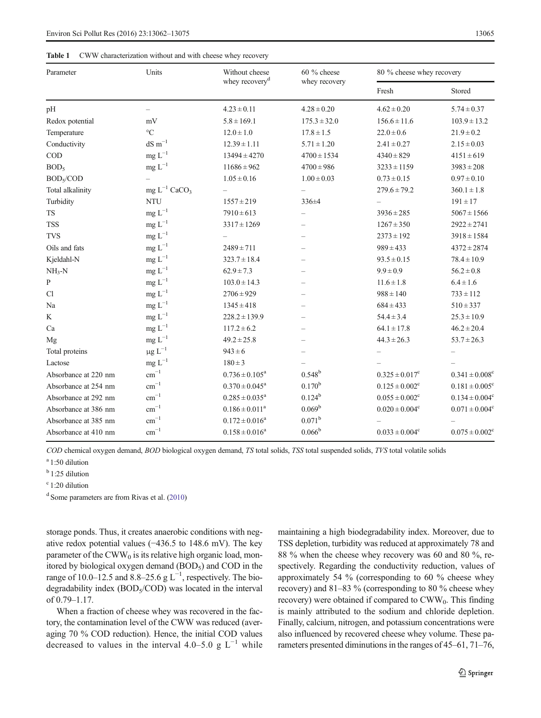<span id="page-3-0"></span>

| Table 1 CWW characterization without and with cheese whey recovery |
|--------------------------------------------------------------------|
|--------------------------------------------------------------------|

| Parameter             | Units                             | Without cheese             | $60\%$ cheese      | 80 % cheese whey recovery      |                                |
|-----------------------|-----------------------------------|----------------------------|--------------------|--------------------------------|--------------------------------|
|                       |                                   | whey recovery <sup>d</sup> | whey recovery      | Fresh                          | Stored                         |
| pH                    | $\equiv$                          | $4.23 \pm 0.11$            | $4.28 \pm 0.20$    | $4.62 \pm 0.20$                | $5.74 \pm 0.37$                |
| Redox potential       | mV                                | $5.8 \pm 169.1$            | $175.3 \pm 32.0$   | $156.6 \pm 11.6$               | $103.9 \pm 13.2$               |
| Temperature           | $\rm ^{\circ}C$                   | $12.0 \pm 1.0$             | $17.8 \pm 1.5$     | $22.0 \pm 0.6$                 | $21.9 \pm 0.2$                 |
| Conductivity          | $dS \, \text{m}^{-1}$             | $12.39 \pm 1.11$           | $5.71 \pm 1.20$    | $2.41 \pm 0.27$                | $2.15 \pm 0.03$                |
| COD                   | $mg L^{-1}$                       | $13494 \pm 4270$           | $4700 \pm 1534$    | $4340 \pm 829$                 | $4151 \pm 619$                 |
| BOD <sub>5</sub>      | $mg L^{-1}$                       | $11686 \pm 962$            | $4700 \pm 986$     | $3233 \pm 1159$                | $3983 \pm 208$                 |
| BOD <sub>5</sub> /COD |                                   | $1.05 \pm 0.16$            | $1.00 \pm 0.03$    | $0.73 \pm 0.15$                | $0.97 \pm 0.10$                |
| Total alkalinity      | mg $L^{-1}$ CaCO <sub>3</sub>     |                            |                    | $279.6 \pm 79.2$               | $360.1 \pm 1.8$                |
| Turbidity             | <b>NTU</b>                        | $1557 \pm 219$             | 336±4              |                                | $191 \pm 17$                   |
| TS                    | $mg L^{-1}$                       | $7910 \pm 613$             |                    | $3936 \pm 285$                 | $5067 \pm 1566$                |
| <b>TSS</b>            | $mg L^{-1}$                       | $3317 \pm 1269$            |                    | $1267 \pm 350$                 | $2922 \pm 2741$                |
| <b>TVS</b>            | $mg L^{-1}$                       |                            |                    | $2373 \pm 192$                 | $3918 \pm 1584$                |
| Oils and fats         | $mg L^{-1}$                       | $2489 \pm 711$             |                    | $989 \pm 433$                  | $4372 \pm 2874$                |
| Kjeldahl-N            | $mg L^{-1}$                       | $323.7 \pm 18.4$           |                    | $93.5 \pm 0.15$                | $78.4 \pm 10.9$                |
| $NH3-N$               | $mg L^{-1}$                       | $62.9 \pm 7.3$             |                    | $9.9 \pm 0.9$                  | $56.2 \pm 0.8$                 |
| P                     | mg $\mathop{\rm L}\nolimits^{-1}$ | $103.0 \pm 14.3$           |                    | $11.6 \pm 1.8$                 | $6.4 \pm 1.6$                  |
| Cl                    | mg $\mathop{\rm L}\nolimits^{-1}$ | $2706 \pm 929$             |                    | $988 \pm 140$                  | $733 \pm 112$                  |
| Na                    | $mg L^{-1}$                       | $1345 \pm 418$             |                    | $684 \pm 433$                  | $510 \pm 337$                  |
| K                     | $mg L^{-1}$                       | $228.2 \pm 139.9$          |                    | $54.4 \pm 3.4$                 | $25.3 \pm 10.9$                |
| Ca                    | mg $\boldsymbol{L}^{-1}$          | $117.2 \pm 6.2$            |                    | $64.1 \pm 17.8$                | $46.2 \pm 20.4$                |
| Mg                    | mg $\mathop{\rm L}\nolimits^{-1}$ | $49.2 \pm 25.8$            |                    | $44.3 \pm 26.3$                | $53.7 \pm 26.3$                |
| Total proteins        | $\mu g \; L^{-1}$                 | $943 \pm 6$                |                    |                                |                                |
| Lactose               | $mg L^{-1}$                       | $180 \pm 3$                |                    |                                |                                |
| Absorbance at 220 nm  | $\text{cm}^{-1}$                  | $0.736 \pm 0.105^a$        | $0.548^{b}$        | $0.325 \pm 0.017^c$            | $0.341 \pm 0.008$ <sup>c</sup> |
| Absorbance at 254 nm  | $\text{cm}^{-1}$                  | $0.370 \pm 0.045^a$        | $0.170^{b}$        | $0.125 \pm 0.002^c$            | $0.181 \pm 0.005^c$            |
| Absorbance at 292 nm  | $\text{cm}^{-1}$                  | $0.285 \pm 0.035^a$        | $0.124^{b}$        | $0.055 \pm 0.002^c$            | $0.134 \pm 0.004^c$            |
| Absorbance at 386 nm  | $\rm cm^{-1}$                     | $0.186 \pm 0.011^a$        | 0.069 <sup>b</sup> | $0.020 \pm 0.004$ <sup>c</sup> | $0.071 \pm 0.004$ <sup>c</sup> |
| Absorbance at 385 nm  | $\text{cm}^{-1}$                  | $0.172 \pm 0.016^a$        | $0.071^{b}$        |                                |                                |
| Absorbance at 410 nm  | $\text{cm}^{-1}$                  | $0.158 \pm 0.016^a$        | $0.066^{\rm b}$    | $0.033 \pm 0.004^c$            | $0.075 \pm 0.002^{\circ}$      |

COD chemical oxygen demand, BOD biological oxygen demand, TS total solids, TSS total suspended solids, TVS total volatile solids

a 1:50 dilution

<sup>b</sup> 1:25 dilution

c 1:20 dilution

<sup>d</sup> Some parameters are from Rivas et al. ([2010](#page-13-0))

storage ponds. Thus, it creates anaerobic conditions with negative redox potential values (−436.5 to 148.6 mV). The key parameter of the CWW $_0$  is its relative high organic load, monitored by biological oxygen demand  $(BOD<sub>5</sub>)$  and  $COD$  in the range of 10.0–12.5 and 8.8–25.6 g  $L^{-1}$ , respectively. The biodegradability index (BOD5/COD) was located in the interval of 0.79–1.17.

When a fraction of cheese whey was recovered in the factory, the contamination level of the CWW was reduced (averaging 70 % COD reduction). Hence, the initial COD values decreased to values in the interval 4.0–5.0 g  $L^{-1}$  while maintaining a high biodegradability index. Moreover, due to TSS depletion, turbidity was reduced at approximately 78 and 88 % when the cheese whey recovery was 60 and 80 %, respectively. Regarding the conductivity reduction, values of approximately 54 % (corresponding to 60 % cheese whey recovery) and 81–83 % (corresponding to 80 % cheese whey recovery) were obtained if compared to  $CWW_0$ . This finding is mainly attributed to the sodium and chloride depletion. Finally, calcium, nitrogen, and potassium concentrations were also influenced by recovered cheese whey volume. These parameters presented diminutions in the ranges of 45–61, 71–76,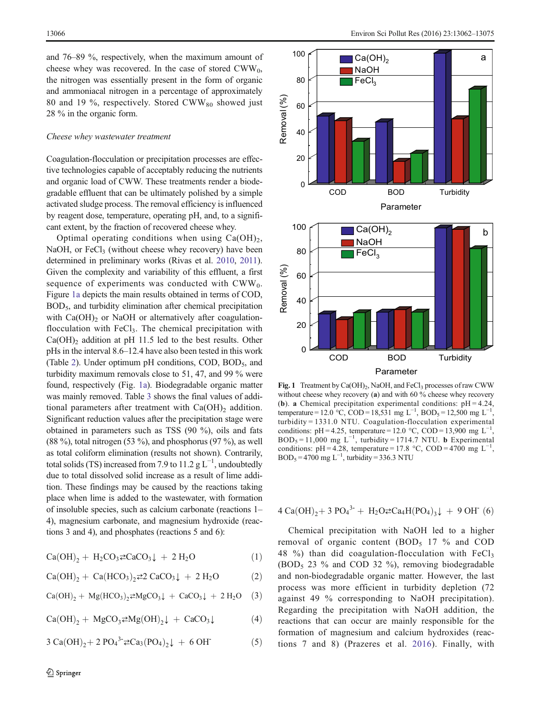<span id="page-4-0"></span>and 76–89 %, respectively, when the maximum amount of cheese whey was recovered. In the case of stored  $CWW_0$ , the nitrogen was essentially present in the form of organic and ammoniacal nitrogen in a percentage of approximately 80 and 19 %, respectively. Stored CWW<sub>80</sub> showed just 28 % in the organic form.

#### Cheese whey wastewater treatment

Coagulation-flocculation or precipitation processes are effective technologies capable of acceptably reducing the nutrients and organic load of CWW. These treatments render a biodegradable effluent that can be ultimately polished by a simple activated sludge process. The removal efficiency is influenced by reagent dose, temperature, operating pH, and, to a significant extent, by the fraction of recovered cheese whey.

Optimal operating conditions when using  $Ca(OH)_{2}$ , NaOH, or  $FeCl<sub>3</sub>$  (without cheese whey recovery) have been determined in preliminary works (Rivas et al. [2010](#page-13-0), [2011](#page-13-0)). Given the complexity and variability of this effluent, a first sequence of experiments was conducted with  $\text{CWW}_0$ . Figure 1a depicts the main results obtained in terms of COD, BOD5, and turbidity elimination after chemical precipitation with  $Ca(OH)$ <sub>2</sub> or NaOH or alternatively after coagulationflocculation with FeCl<sub>3</sub>. The chemical precipitation with  $Ca(OH)_2$  addition at pH 11.5 led to the best results. Other pHs in the interval 8.6–12.4 have also been tested in this work (Table [2\)](#page-5-0). Under optimum pH conditions, COD, BOD $_5$ , and turbidity maximum removals close to 51, 47, and 99 % were found, respectively (Fig. 1a). Biodegradable organic matter was mainly removed. Table [3](#page-6-0) shows the final values of additional parameters after treatment with  $Ca(OH)$ <sub>2</sub> addition. Significant reduction values after the precipitation stage were obtained in parameters such as TSS (90 %), oils and fats (88 %), total nitrogen (53 %), and phosphorus (97 %), as well as total coliform elimination (results not shown). Contrarily, total solids (TS) increased from 7.9 to 11.2  $g L^{-1}$ , undoubtedly due to total dissolved solid increase as a result of lime addition. These findings may be caused by the reactions taking place when lime is added to the wastewater, with formation of insoluble species, such as calcium carbonate (reactions 1– 4), magnesium carbonate, and magnesium hydroxide (reactions 3 and 4), and phosphates (reactions 5 and 6):

$$
Ca(OH)2 + H2CO3 \rightleftarrows CaCO3 \downarrow + 2 H2O
$$
 (1)

$$
\text{Ca(OH)}_2 + \text{Ca(HCO}_3)_2 \rightleftarrows 2 \text{ CaCO}_3 \downarrow + 2 \text{H}_2 \text{O} \tag{2}
$$

$$
\text{Ca(OH)}_2 + \text{Mg(HCO}_3)_2 \rightleftarrows \text{MgCO}_3 \downarrow + \text{CaCO}_3 \downarrow + 2 \text{H}_2\text{O} \quad (3)
$$

$$
Ca(OH)2 + MgCO3 \ncong Mg(OH)2\downarrow + CaCO3\downarrow
$$
 (4)

$$
3 Ca(OH)2 + 2 PO43 \ncong Ca3(PO4)2\downarrow + 6 OH
$$
 (5)



Fig. 1 Treatment by  $Ca(OH)_2$ , NaOH, and FeCl<sub>3</sub> processes of raw CWW without cheese whey recovery (a) and with 60 % cheese whey recovery (b). a Chemical precipitation experimental conditions:  $pH = 4.24$ , temperature = 12.0 °C, COD = 18,531 mg L<sup>-1</sup>, BOD<sub>5</sub> = 12,500 mg L<sup>-1</sup> , turbidity = 1331.0 NTU. Coagulation-flocculation experimental conditions: pH = 4.25, temperature = 12.0 °C, COD = 13,900 mg L<sup>-1</sup>,  $BOD_5 = 11,000$  mg L<sup>-1</sup>, turbidity = 1714.7 NTU. **b** Experimental conditions: pH = 4.28, temperature = 17.8 °C, COD = 4700 mg L<sup>-1</sup>,  $BOD_5 = 4700$  mg L<sup>-1</sup>, turbidity = 336.3 NTU

 $4 Ca(OH)<sub>2</sub> + 3 PO<sub>4</sub><sup>3-</sup> + H<sub>2</sub>Oz^2Ca<sub>4</sub>H(PO<sub>4</sub>)<sub>3</sub>\downarrow + 9 OH (6)$ 

Chemical precipitation with NaOH led to a higher removal of organic content  $(BOD<sub>5</sub> 17 %$  and COD 48 %) than did coagulation-flocculation with FeCl3  $(BOD<sub>5</sub> 23 %$  and COD 32%), removing biodegradable and non-biodegradable organic matter. However, the last process was more efficient in turbidity depletion (72 against 49 % corresponding to NaOH precipitation). Regarding the precipitation with NaOH addition, the reactions that can occur are mainly responsible for the formation of magnesium and calcium hydroxides (reactions 7 and 8) (Prazeres et al. [2016](#page-13-0)). Finally, with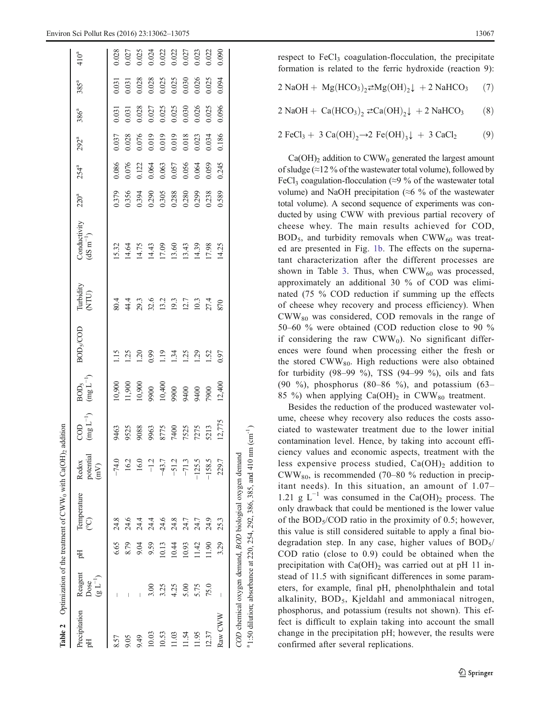<span id="page-5-0"></span>

|                     |                                 |       | Table 2 Optimization of the treatment of $CWW_0$ with $Ca(OH)_2$ addition |                           |                                              |                                                    |                       |                    |                                           |                                           |                                                                |                                                                                                     |                                                                                               |                                                                                                              |                                                                                                     |
|---------------------|---------------------------------|-------|---------------------------------------------------------------------------|---------------------------|----------------------------------------------|----------------------------------------------------|-----------------------|--------------------|-------------------------------------------|-------------------------------------------|----------------------------------------------------------------|-----------------------------------------------------------------------------------------------------|-----------------------------------------------------------------------------------------------|--------------------------------------------------------------------------------------------------------------|-----------------------------------------------------------------------------------------------------|
| Precipitation<br>Ъq | Reagent<br>$(g L^{-1})$<br>Dose |       | Temperature                                                               | potentia<br>Redox<br>(mV) | $(\rm{mg}\,L^{-1})$<br>g                     | $(\text{mg L}^{-1})$<br>BOD <sub>5</sub>           | BOD <sub>5</sub> /COD | Turbidity<br>(NTU) | Conductivity<br>$(dS \; m^{-1})$          | $220^a$                                   | $254^a$                                                        | 292ª                                                                                                | 386 <sup>a</sup>                                                                              | $385^{\rm a}$                                                                                                | $410^{a}$                                                                                           |
| 8.57                |                                 | 6.65  | 24.8                                                                      | $-74.0$                   | 9463                                         | 10,900                                             | 1.15                  |                    | 15.32                                     | 0.379                                     | 0.086                                                          | 0.037                                                                                               | 0.031                                                                                         | 0.031                                                                                                        | 0.028                                                                                               |
| 9.05                |                                 | 8.79  | 24.6                                                                      | 16.2                      | 9525<br>9088<br>8775<br>7525<br>7213<br>7213 | 11,900<br>10,900<br>9900<br>10,400<br>9900<br>9400 | 1.25                  | $8.49883337737488$ |                                           |                                           | 0.076                                                          |                                                                                                     | 0.031                                                                                         | 0.031                                                                                                        | 0.027                                                                                               |
| 9.49                |                                 | 9.04  | 24.4                                                                      | 16.0                      |                                              |                                                    |                       |                    |                                           |                                           |                                                                |                                                                                                     |                                                                                               |                                                                                                              |                                                                                                     |
| 10.03               | 3.00                            | 9.59  | 24.4                                                                      | $-1.2$                    |                                              |                                                    |                       |                    |                                           |                                           |                                                                |                                                                                                     |                                                                                               |                                                                                                              |                                                                                                     |
| 10.53               | 3.25                            | 10.13 | 24.6                                                                      | $-43.7$                   |                                              |                                                    |                       |                    |                                           |                                           |                                                                |                                                                                                     |                                                                                               |                                                                                                              |                                                                                                     |
| 11.03               | 4.25                            | 10.44 | 24.8                                                                      | $-51.2$                   |                                              |                                                    |                       |                    |                                           |                                           |                                                                |                                                                                                     |                                                                                               |                                                                                                              |                                                                                                     |
| 11.54               | 5.00                            | 10.93 | 24.7                                                                      | $-71.3$                   |                                              |                                                    |                       |                    | 14.64<br>14.75<br>17.09<br>17.98<br>17.98 | 0.356<br>0.394<br>0.305<br>0.288<br>0.299 | $0.122$<br>$0.064$<br>$0.063$<br>$0.057$<br>$0.056$<br>$0.064$ | $\begin{array}{c} 0.028 \\ 0.076 \\ 0.019 \\ 0.019 \\ 0.019 \\ 0.019 \\ 0.018 \\ 0.023 \end{array}$ | $\begin{array}{l} 0.028 \\ 0.027 \\ 0.025 \\ 0.025 \\ 0.030 \\ 0.030 \\ 0.030 \\ \end{array}$ |                                                                                                              | $\begin{array}{l} 0.025 \\ 0.024 \\ 0.022 \\ 0.022 \\ 0.027 \\ 0.033 \\ 0.023 \\ 0.023 \end{array}$ |
| 11.95               | 5.75                            | 11.42 | 24.7                                                                      | $-125.5$                  |                                              |                                                    |                       |                    |                                           |                                           |                                                                |                                                                                                     |                                                                                               |                                                                                                              |                                                                                                     |
| 12.37               | 75.0                            | 11.90 | 24.9                                                                      | $-158.5$                  |                                              | 7900                                               |                       |                    |                                           | 0.238                                     | 0.059                                                          | 0.034                                                                                               | 0.025                                                                                         | $\begin{array}{r} 0.028 \\ 0.028 \\ 0.025 \\ 0.030 \\ 0.030 \\ 0.030 \\ 0.026 \\ 0.024 \\ 0.024 \end{array}$ |                                                                                                     |
| Raw CWW             |                                 | 3.29  | 25.3                                                                      | 229.7                     | 12,775                                       | 12,400                                             | 0.97                  |                    | 14.25                                     | 0.589                                     | 0.245                                                          | 0.186                                                                                               | 0.096                                                                                         |                                                                                                              | 0.090                                                                                               |
|                     |                                 |       | COD chemical oxygen demand, BOD biological oxygen deman                   | ᅙ                         |                                              |                                                    |                       |                    |                                           |                                           |                                                                |                                                                                                     |                                                                                               |                                                                                                              |                                                                                                     |

<sup>a</sup> 1:50 dilution; absorbance at 220, 254, 292, 386, 385, and 410 nm (cm<sup>-1</sup>) <sup>a</sup> 1:50 dilution; absorbance at 220, 254, 292, 386, 385, and 410 nm (cm<sup>-1</sup>)

respect to  $FeCl<sub>3</sub>$  coagulation-flocculation, the precipitate formation is related to the ferric hydroxide (reaction 9):

$$
2\text{ NaOH} + \text{ Mg}(\text{HCO}_3)_2 \rightleftarrows \text{Mg}(\text{OH})_2 \downarrow + 2\text{ NaHCO}_3 \qquad (7)
$$

$$
2 \text{ NaOH} + \text{Ca}(\text{HCO}_3)_2 \rightleftarrows \text{Ca}(\text{OH})_2 \downarrow + 2 \text{ NaHCO}_3 \tag{8}
$$

$$
2 \text{ FeCl}_3 + 3 \text{ Ca(OH)}_2 \rightarrow 2 \text{ Fe(OH)}_3 \downarrow + 3 \text{ CaCl}_2 \tag{9}
$$

 $Ca(OH)_2$  addition to CWW<sub>0</sub> generated the largest amount of sludge (≈12 % of the wastewater total volume), followed by FeCl<sub>3</sub> coagulation-flocculation (≈9 % of the wastewater total volume) and NaOH precipitation (≈6 % of the wastewater total volume). A second sequence of experiments was conducted by using CWW with previous partial recovery of cheese whey. The main results achieved for COD,  $BOD<sub>5</sub>$ , and turbidity removals when  $CWW<sub>60</sub>$  was treated are presented in Fig. [1b](#page-4-0). The effects on the supernatant characterization after the different processes are shown in Table [3.](#page-6-0) Thus, when  $CWW_{60}$  was processed, approximately an additional 30 % of COD was eliminated (75 % COD reduction if summing up the effects of cheese whey recovery and process efficiency). When CWW80 was considered, COD removals in the range of 50–60 % were obtained (COD reduction close to 90 % if considering the raw  $CWW_0$ ). No significant differences were found when processing either the fresh or the stored  $CWW_{80}$ . High reductions were also obtained for turbidity (98–99 %), TSS (94–99 %), oils and fats (90 %), phosphorus (80–86 %), and potassium (63– 85 %) when applying  $Ca(OH)_2$  in CWW<sub>80</sub> treatment.

Besides the reduction of the produced wastewater volume, cheese whey recovery also reduces the costs associated to wastewater treatment due to the lower initial contamination level. Hence, by taking into account efficiency values and economic aspects, treatment with the less expensive process studied,  $Ca(OH)_2$  addition to  $CWW_{80}$ , is recommended (70–80 % reduction in precipitant needs). In this situation, an amount of 1.07– 1.21 g  $L^{-1}$  was consumed in the Ca(OH)<sub>2</sub> process. The only drawback that could be mentioned is the lower value of the  $BOD<sub>5</sub>/COD$  ratio in the proximity of 0.5; however, this value is still considered suitable to apply a final biodegradation step. In any case, higher values of  $BOD<sub>5</sub>/$ COD ratio (close to 0.9) could be obtained when the precipitation with  $Ca(OH)_2$  was carried out at pH 11 instead of 11.5 with significant differences in some parameters, for example, final pH, phenolphthalein and total alkalinity, BOD<sub>5</sub>, Kjeldahl and ammoniacal nitrogen, phosphorus, and potassium (results not shown). This effect is difficult to explain taking into account the small change in the precipitation pH; however, the results were confirmed after several replications.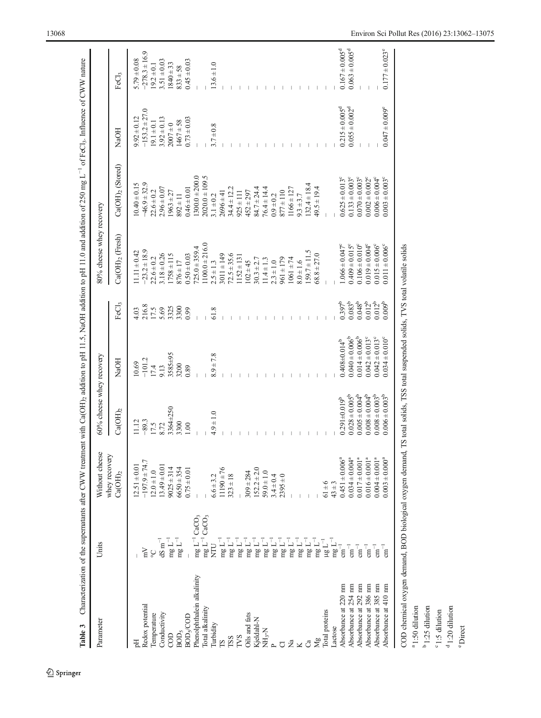<span id="page-6-0"></span>

| Table 3                                                   |                                                 |                                      |                                                                        |                           |                    |                                | Characterization of the supernatants after CWW treatment with Ca(OH) <sub>2</sub> addition to pH 11.5, NaOH addition to pH 11.0 and addition of 250 mg L <sup>-1</sup> of FeCl3, Influence of CWW nature |                                |                                |
|-----------------------------------------------------------|-------------------------------------------------|--------------------------------------|------------------------------------------------------------------------|---------------------------|--------------------|--------------------------------|----------------------------------------------------------------------------------------------------------------------------------------------------------------------------------------------------------|--------------------------------|--------------------------------|
| Parameter                                                 | Units                                           | Without cheese                       | 60% cheese whey recovery                                               |                           |                    | 80% cheese whey recovery       |                                                                                                                                                                                                          |                                |                                |
|                                                           |                                                 | whey recovery<br>Ca(OH) <sub>2</sub> | $Ca(OH)_2$                                                             | NaOH                      | FeCl <sub>3</sub>  | $Ca(OH)$ <sub>2</sub> (Fresh)  | Ca(OH) <sub>2</sub> (Stored)                                                                                                                                                                             | NaOH                           | FeCl <sub>3</sub>              |
| Ηq                                                        |                                                 | $12.51 \pm 0.01$                     | 11.12                                                                  | 10.69                     | 4.03               | $11.11 \pm 0.42$               | $10.40 \pm 0.15$                                                                                                                                                                                         | $9.92 \pm 0.12$                | $5.79 \pm 0.08$                |
| Redox potential                                           | $\sum_{i=1}^{n}$                                | $-197.9 + 74.7$                      | $-89.3$                                                                | $-101.2$                  | 216.8              | $-23.2 \pm 18.9$               | $46.9 \pm 32.9$                                                                                                                                                                                          | $-153.2 + 27.0$                | $-278.3 \pm 16.9$              |
| Temperature                                               | $\mathcal{S}$                                   | $12.0 \pm 1.0$                       | 17.5                                                                   | 17.4                      | 17.5               | $22.6 \pm 0.2$                 | $22.6 \pm 0.2$                                                                                                                                                                                           | $19.1 \pm 0.1$                 | $19.2 \pm 0.1$                 |
| Conductivity                                              | $\rm d S~m^{-1}$                                | $13.49 \pm 0.01$                     | 8.72                                                                   | 9.13                      | 5.69               | $3.18 \pm 0.26$                | $2.96 \pm 0.07$                                                                                                                                                                                          | $3.92 \pm 0.13$                | $3.51 \pm 0.03$                |
| COD                                                       | ${\rm mg}\ {\rm L}^{-1}$                        | $9025 \pm 314$                       | 3364±250                                                               | 3585±95                   | 3325               | $1758 \pm 115$                 | $.963 \pm 27$                                                                                                                                                                                            | $2007 \pm 0$                   | $1840 \pm 33$                  |
| $\mathrm{BOD}_5$                                          | ${\rm mg}\ {\rm L}^{-1}$                        | $6650 \pm 354$                       | 3300                                                                   | 3200                      | 3300               | $876 \pm 17$                   | $892 \pm 11$                                                                                                                                                                                             | $1467 + 58$                    | $833 \pm 58$                   |
| BOD <sub>5</sub> /COD                                     |                                                 | $0.75 \pm 0.01$                      | 00.1                                                                   | 0.89                      | 0.99               | $0.50 \pm 0.03$                | $0.46 \pm 0.01$                                                                                                                                                                                          | $0.73 \pm 0.03$                | $0.45 \pm 0.03$                |
| Phenolphthalein alkalinity                                | mg $L^{-1}$ CaCO <sub>3</sub>                   |                                      |                                                                        |                           |                    | $725.0 \pm 359.4$              | $1300.0 \pm 200.0$                                                                                                                                                                                       |                                |                                |
| Total alkalinity                                          | $mg L^{-1}$ CaCO <sub>3</sub>                   |                                      |                                                                        |                           |                    | $1100.0 + 216.0$               | $2020.0 \pm 109.5$                                                                                                                                                                                       |                                |                                |
| Turbidity                                                 | NTU                                             | $6.6 \pm 3.2$                        | $4.9 \pm 1.0$                                                          | $8.9 \pm 7.8$             | 61.8               | $2.5 \pm 1.3$                  | $3.1 \pm 0.2$                                                                                                                                                                                            | $3.7 \pm 0.8$                  | $13.6 \pm 1.0$                 |
| TS                                                        | mgL                                             | $11190 \pm 76$                       |                                                                        |                           |                    | $3011 \pm 149$                 | $2696 \pm 41$                                                                                                                                                                                            |                                |                                |
| <b>TSS</b>                                                | mgL                                             | $323 \pm 18$                         |                                                                        |                           |                    | $72.5 \pm 35.6$                | $34.4 \pm 12.2$                                                                                                                                                                                          |                                |                                |
| <b>LVS</b>                                                | mgL                                             |                                      |                                                                        |                           |                    | $1152 \pm 131$                 | $925 \pm 111$                                                                                                                                                                                            |                                |                                |
| Oils and fats                                             | mgL                                             | $309 \pm 284$                        |                                                                        |                           |                    | $102 \pm 45$                   | $452 \pm 297$                                                                                                                                                                                            |                                |                                |
| Kjeldahl-N                                                | mgL                                             | $152.2 \pm 2.0$                      |                                                                        |                           |                    | $30.3 \pm 2.7$                 | $84.7 \pm 24.4$                                                                                                                                                                                          |                                |                                |
| $NH3$ -N                                                  | mgL                                             | $59.0 \pm 1.0$                       |                                                                        |                           |                    | $11.4 \pm 1.3$                 | $76.4 \pm 14.4$                                                                                                                                                                                          |                                |                                |
|                                                           | mgL                                             | $3.4 \pm 0.4$                        |                                                                        |                           |                    | $2.3 \pm 1.0$                  | $0.9 + 0.2$                                                                                                                                                                                              |                                |                                |
| $\overline{\circ}$                                        | mgL                                             | $2395 \pm 0$                         |                                                                        |                           |                    | $961 \pm 179$                  | $877 \pm 110$                                                                                                                                                                                            |                                |                                |
| ž                                                         | ${\rm mg}\,{\rm L}^{-1}$                        |                                      |                                                                        |                           |                    | $1061 \pm 74$                  | $1166 \pm 127$                                                                                                                                                                                           |                                |                                |
|                                                           | $\rm{mg}\, \rm{L}^{-1}$                         |                                      |                                                                        |                           |                    | $8.0 \pm 1.6$                  | $9.3 \pm 3.7$                                                                                                                                                                                            |                                |                                |
|                                                           | $\rm{mg}\, \rm{L}^{-1}$                         |                                      |                                                                        |                           |                    | $159.7 \pm 11.5$               | $132.4 \pm 18.4$                                                                                                                                                                                         |                                |                                |
| Mg                                                        | $\rm{mg}\, \rm{L}^{-1}$                         |                                      |                                                                        |                           |                    | $68.8 \pm 27.0$                | $49.5 \pm 19.4$                                                                                                                                                                                          |                                |                                |
| Total proteins                                            | $\mu g \, L^{-1}$                               | $61 \pm 6$                           |                                                                        |                           |                    |                                |                                                                                                                                                                                                          |                                |                                |
| Lactose                                                   | $\rm{mg\,L}^{-1}$                               | $43 \pm 3$                           |                                                                        |                           |                    |                                |                                                                                                                                                                                                          |                                |                                |
| Absorbance at 220 mm                                      | $\overline{\overline{\overline{\overline{u}}}}$ | $0.451 \pm 0.006^a$                  | $0.291 \pm 0.019^b$                                                    | $0.408 + 0.014^{b}$       | $0.397^{b}$        | $1.066 \pm 0.047$ °            | $0.625 \pm 0.013$ °                                                                                                                                                                                      | $0.215 \pm 0.005$ <sup>d</sup> | $0.167 \pm 0.005$ <sup>d</sup> |
| Absorbance at 254 nm                                      | $\mathrm{cm}^{-1}$                              | $0.034 \pm 0.004$ <sup>a</sup>       | $0.028 \pm 0.005^b$                                                    | $0.040 \pm 0.006^b$       | $0.083^{b}$        | $0.409 \pm 0.015$ °            | $0.133 \pm 0.003$ <sup>c</sup>                                                                                                                                                                           | $0.055 \pm 0.002^{\circ}$      | $0.063 \pm 0.005$ <sup>d</sup> |
| Absorbance at 292 nm                                      | $\mathrm{cm}^{-1}$                              | $0.017 \pm 0.001$ <sup>a</sup>       | $0.005 \pm 0.004^b$                                                    | $0.014 \pm 0.006^b$       | $0.048^{b}$        | $0.106 \pm 0.010$ <sup>c</sup> | $0.070 \pm 0.003$ °                                                                                                                                                                                      |                                |                                |
| Absorbance at 386 nm                                      | $\bar{\bar{\mathrm{g}}}$                        | $0.016 \pm 0.001a$                   | $0.008 \pm 0.004^b$                                                    | $0.042 \pm 0.013$ °       | $0.012^{b}$        | $0.019 \pm 0.004$ °            | $0.002 \pm 0.002$ <sup>c</sup>                                                                                                                                                                           |                                |                                |
| Absorbance at 385 nm                                      | $\mathrm{cm}^{-1}$                              | $0.004 \pm 0.001a$                   | $0.008 \pm 0.003^b$                                                    | $0.042 \pm 0.013$ °       | $0.012^{b}$        | $0.015 \pm 0.006$ °            | $0.006 \pm 0.004$ °                                                                                                                                                                                      |                                |                                |
| Absorbance at 410 nm                                      | $\bar{\vec{B}}$                                 | $0.003 \pm 0.000^{4}$                | $0.006 \pm 0.003^b$                                                    | $0.034 \pm 0.010^{\circ}$ | 0.009 <sup>b</sup> | $0.011 \pm 0.006^{\circ}$      | $0.003 \pm 0.003$ <sup>c</sup>                                                                                                                                                                           | $0.047 \pm 0.009$ <sup>e</sup> | $0.177 \pm 0.023$ °            |
| COD chemical oxygen demand. BOD biological oxygen demand. |                                                 |                                      | TS total solids. TSS total suspended solids. TVS total volatile solids |                           |                    |                                |                                                                                                                                                                                                          |                                |                                |

COD chemical oxygen demand, BOD biological oxygen demand, TS total solids, TSS total suspended solids, TVS total volatile solids  $\cdot$  $\cdot$  $\mathbf{f}$ à á Ļ.  $\tilde{\mathbf{z}}$ 

 1:50 dilution b 1:25 dilution

a 1:50 d<br>b 1:25 d<br>c 1:5 dil<br>d 1:20 d<br>e Direct  $\mathfrak{c}_1:5$  dilution

1:20 dilution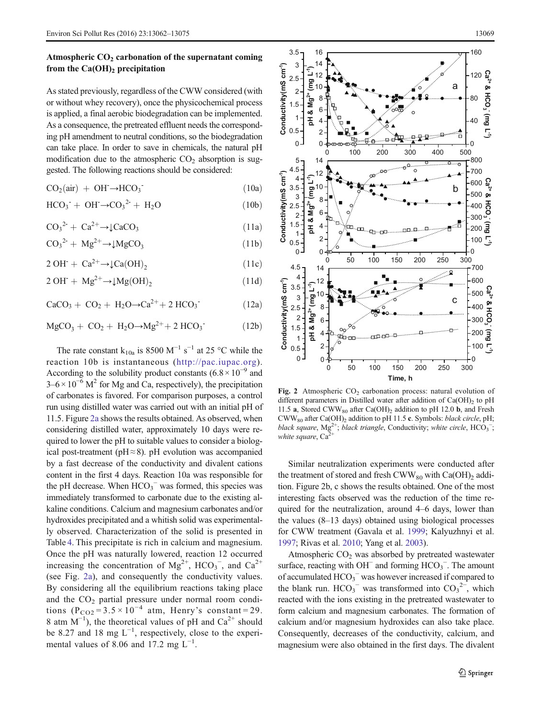# Atmospheric  $CO<sub>2</sub>$  carbonation of the supernatant coming from the  $Ca(OH)_2$  precipitation

As stated previously, regardless of the CWW considered (with or without whey recovery), once the physicochemical process is applied, a final aerobic biodegradation can be implemented. As a consequence, the pretreated effluent needs the corresponding pH amendment to neutral conditions, so the biodegradation can take place. In order to save in chemicals, the natural pH modification due to the atmospheric  $CO<sub>2</sub>$  absorption is suggested. The following reactions should be considered:

$$
CO2(air) + OH- \rightarrow HCO3
$$
\n(10a)

$$
HCO_3 + OH^- \rightarrow CO_3^{2-} + H_2O \tag{10b}
$$

$$
CO32+ + Ca2+ \to \downarrow CaCO3
$$
 (11a)

$$
CO_3^{2-} + Mg^{2+} \rightarrow \downarrow MgCO_3 \tag{11b}
$$

$$
2 \text{ OH}^{\cdot} + \text{Ca}^{2+} \rightarrow \downarrow \text{Ca(OH)}_{2} \tag{11c}
$$

$$
2 \text{ OH}^{\cdot} + \text{ Mg}^{2+} \rightarrow \downarrow \text{Mg}(\text{OH})_2 \tag{11d}
$$

$$
CaCO3 + CO2 + H2O \to Ca2+ + 2 HCO3
$$
 (12a)

$$
MgCO3 + CO2 + H2O \rightarrow Mg2+ + 2 HCO3
$$
 (12b)

The rate constant  $k_{10a}$  is 8500 M<sup>-1</sup> s<sup>-1</sup> at 25 °C while the reaction 10b is instantaneous ([http://pac.iupac.org\)](http://pac.iupac.org/). According to the solubility product constants  $(6.8 \times 10^{-9}$  and  $3-6 \times 10^{-6}$  M<sup>2</sup> for Mg and Ca, respectively), the precipitation of carbonates is favored. For comparison purposes, a control run using distilled water was carried out with an initial pH of 11.5. Figure 2a shows the results obtained. As observed, when considering distilled water, approximately 10 days were required to lower the pH to suitable values to consider a biological post-treatment (pH≈8). pH evolution was accompanied by a fast decrease of the conductivity and divalent cations content in the first 4 days. Reaction 10a was responsible for the pH decrease. When  $HCO_3$ <sup>-</sup> was formed, this species was immediately transformed to carbonate due to the existing alkaline conditions. Calcium and magnesium carbonates and/or hydroxides precipitated and a whitish solid was experimentally observed. Characterization of the solid is presented in Table [4](#page-8-0). This precipitate is rich in calcium and magnesium. Once the pH was naturally lowered, reaction 12 occurred increasing the concentration of  $Mg^{2+}$ , HCO<sub>3</sub><sup>-</sup>, and Ca<sup>2+</sup> (see Fig. 2a), and consequently the conductivity values. By considering all the equilibrium reactions taking place and the  $CO<sub>2</sub>$  partial pressure under normal room conditions  $(P_{CO2} = 3.5 \times 10^{-4}$  atm, Henry's constant=29. 8 atm  $M^{-1}$ ), the theoretical values of pH and Ca<sup>2+</sup> should be 8.27 and 18 mg  $L^{-1}$ , respectively, close to the experimental values of 8.06 and 17.2 mg  $L^{-1}$ .



Fig. 2 Atmospheric  $CO<sub>2</sub>$  carbonation process: natural evolution of different parameters in Distilled water after addition of  $Ca(OH)_2$  to pH 11.5 **a**, Stored CWW<sub>80</sub> after Ca(OH)<sub>2</sub> addition to pH 12.0 **b**, and Fresh  $CWW_{80}$  after Ca(OH)<sub>2</sub> addition to pH 11.5 c. Symbols: *black circle*, pH; black square,  $Mg^{2+}$ ; black triangle, Conductivity; white circle,  $HCO_3^-$ ; white square, Ca

Similar neutralization experiments were conducted after the treatment of stored and fresh CWW $_{80}$  with Ca(OH)<sub>2</sub> addition. Figure 2b, c shows the results obtained. One of the most interesting facts observed was the reduction of the time required for the neutralization, around 4–6 days, lower than the values (8–13 days) obtained using biological processes for CWW treatment (Gavala et al. [1999](#page-12-0); Kalyuzhnyi et al. [1997;](#page-12-0) Rivas et al. [2010;](#page-13-0) Yang et al. [2003](#page-13-0)).

Atmospheric  $CO<sub>2</sub>$  was absorbed by pretreated wastewater surface, reacting with OH<sup>−</sup> and forming HCO<sub>3</sub><sup>−</sup>. The amount of accumulated  $HCO_3$ <sup>-</sup> was however increased if compared to the blank run.  $HCO_3^-$  was transformed into  $CO_3^2^-$ , which reacted with the ions existing in the pretreated wastewater to form calcium and magnesium carbonates. The formation of calcium and/or magnesium hydroxides can also take place. Consequently, decreases of the conductivity, calcium, and magnesium were also obtained in the first days. The divalent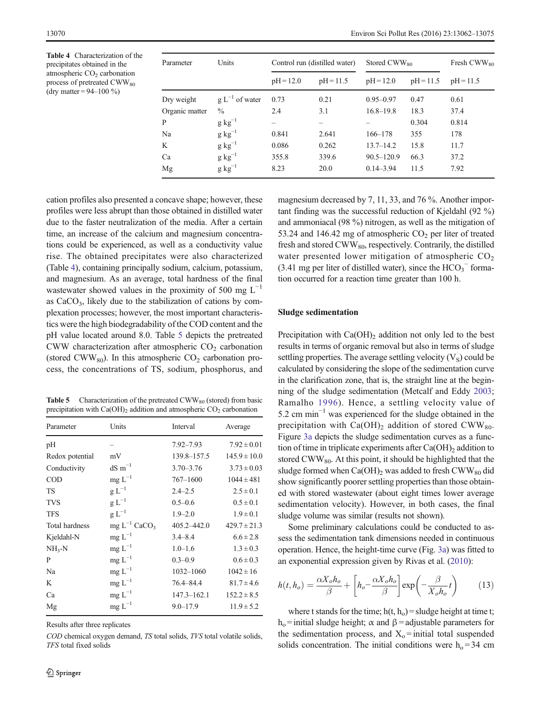<span id="page-8-0"></span>Table 4 Characterization of the precipitates obtained in the atmospheric CO<sub>2</sub> carbonation process of pretreated CWW<sub>80</sub> (dry matter =  $94-100\%$ )

| Parameter      | Units               |             | Control run (distilled water) | Stored $CWW_{80}$ |             | Fresh CWW <sub>80</sub> |
|----------------|---------------------|-------------|-------------------------------|-------------------|-------------|-------------------------|
|                |                     | $pH = 12.0$ | $pH = 11.5$                   | $pH = 12.0$       | $pH = 11.5$ | $pH = 11.5$             |
| Dry weight     | $g L^{-1}$ of water | 0.73        | 0.21                          | $0.95 - 0.97$     | 0.47        | 0.61                    |
| Organic matter | $\%$                | 2.4         | 3.1                           | $16.8 - 19.8$     | 18.3        | 37.4                    |
| P              | $g kg^{-1}$         |             |                               |                   | 0.304       | 0.814                   |
| Na             | $g kg^{-1}$         | 0.841       | 2.641                         | $166 - 178$       | 355         | 178                     |
| K              | $g kg^{-1}$         | 0.086       | 0.262                         | $13.7 - 14.2$     | 15.8        | 11.7                    |
| Ca             | $g kg^{-1}$         | 355.8       | 339.6                         | $90.5 - 120.9$    | 66.3        | 37.2                    |
| Mg             | $g kg^{-1}$         | 8.23        | 20.0                          | $0.14 - 3.94$     | 11.5        | 7.92                    |

cation profiles also presented a concave shape; however, these profiles were less abrupt than those obtained in distilled water due to the faster neutralization of the media. After a certain time, an increase of the calcium and magnesium concentrations could be experienced, as well as a conductivity value rise. The obtained precipitates were also characterized (Table 4), containing principally sodium, calcium, potassium, and magnesium. As an average, total hardness of the final wastewater showed values in the proximity of 500 mg  $L^{-1}$ as  $CaCO<sub>3</sub>$ , likely due to the stabilization of cations by complexation processes; however, the most important characteristics were the high biodegradability of the COD content and the pH value located around 8.0. Table 5 depicts the pretreated CWW characterization after atmospheric  $CO<sub>2</sub>$  carbonation (stored CWW<sub>80</sub>). In this atmospheric  $CO<sub>2</sub>$  carbonation process, the concentrations of TS, sodium, phosphorus, and

**Table 5** Characterization of the pretreated CWW<sub>80</sub> (stored) from basic precipitation with  $Ca(OH)_2$  addition and atmospheric  $CO_2$  carbonation

| Parameter             | Units                         | Interval        | Average          |
|-----------------------|-------------------------------|-----------------|------------------|
| pH                    |                               | 7.92-7.93       | $7.92 \pm 0.01$  |
| Redox potential       | mV                            | 139.8-157.5     | $145.9 \pm 10.0$ |
| Conductivity          | $dS \text{ m}^{-1}$           | $3.70 - 3.76$   | $3.73 \pm 0.03$  |
| $\rm COD$             | $mg L^{-1}$                   | $767 - 1600$    | $1044 \pm 481$   |
| <b>TS</b>             | $g L^{-1}$                    | $2.4 - 2.5$     | $2.5 \pm 0.1$    |
| <b>TVS</b>            | $g L^{-1}$                    | $0.5 - 0.6$     | $0.5 \pm 0.1$    |
| <b>TFS</b>            | $g L^{-1}$                    | $1.9 - 2.0$     | $1.9 \pm 0.1$    |
| <b>Total hardness</b> | $mg L^{-1}$ CaCO <sub>3</sub> | $405.2 - 442.0$ | $429.7 \pm 21.3$ |
| Kjeldahl-N            | $mg L^{-1}$                   | $3.4 - 8.4$     | $6.6 \pm 2.8$    |
| $NH3-N$               | $mg L^{-1}$                   | $1.0 - 1.6$     | $1.3 \pm 0.3$    |
| P                     | $mg L^{-1}$                   | $0.3 - 0.9$     | $0.6 \pm 0.3$    |
| Na                    | $mg L^{-1}$                   | 1032-1060       | $1042 \pm 16$    |
| K                     | $mg L^{-1}$                   | 76.4-84.4       | $81.7 \pm 4.6$   |
| Ca                    | $mg L^{-1}$                   | $147.3 - 162.1$ | $152.2 \pm 8.5$  |
| Mg                    | $mg L^{-1}$                   | $9.0 - 17.9$    | $11.9 \pm 5.2$   |

Results after three replicates

COD chemical oxygen demand, TS total solids, TVS total volatile solids, TFS total fixed solids

magnesium decreased by 7, 11, 33, and 76 %. Another important finding was the successful reduction of Kjeldahl (92 %) and ammoniacal (98 %) nitrogen, as well as the mitigation of 53.24 and 146.42 mg of atmospheric  $CO<sub>2</sub>$  per liter of treated fresh and stored  $CWW_{80}$ , respectively. Contrarily, the distilled water presented lower mitigation of atmospheric  $CO<sub>2</sub>$ (3.41 mg per liter of distilled water), since the  $HCO_3^-$  formation occurred for a reaction time greater than 100 h.

#### Sludge sedimentation

Precipitation with  $Ca(OH)_2$  addition not only led to the best results in terms of organic removal but also in terms of sludge settling properties. The average settling velocity  $(V<sub>S</sub>)$  could be calculated by considering the slope of the sedimentation curve in the clarification zone, that is, the straight line at the beginning of the sludge sedimentation (Metcalf and Eddy [2003;](#page-12-0) Ramalho [1996](#page-13-0)). Hence, a settling velocity value of 5.2 cm min−<sup>1</sup> was experienced for the sludge obtained in the precipitation with  $Ca(OH)_2$  addition of stored CWW<sub>80</sub>. Figure [3a](#page-9-0) depicts the sludge sedimentation curves as a function of time in triplicate experiments after  $Ca(OH)_2$  addition to stored  $CWW_{80}$ . At this point, it should be highlighted that the sludge formed when  $Ca(OH)_2$  was added to fresh CWW<sub>80</sub> did show significantly poorer settling properties than those obtained with stored wastewater (about eight times lower average sedimentation velocity). However, in both cases, the final sludge volume was similar (results not shown).

Some preliminary calculations could be conducted to assess the sedimentation tank dimensions needed in continuous operation. Hence, the height-time curve (Fig. [3a](#page-9-0)) was fitted to an exponential expression given by Rivas et al. ([2010](#page-13-0)):

$$
h(t, h_o) = \frac{\alpha X_o h_o}{\beta} + \left[ h_o - \frac{\alpha X_o h_o}{\beta} \right] \exp\left(-\frac{\beta}{X_o h_o} t\right) \tag{13}
$$

where t stands for the time;  $h(t, h_0) =$  sludge height at time t; h<sub>o</sub>= initial sludge height; α and β = adjustable parameters for the sedimentation process, and  $X_0$ = initial total suspended solids concentration. The initial conditions were  $h_0 = 34$  cm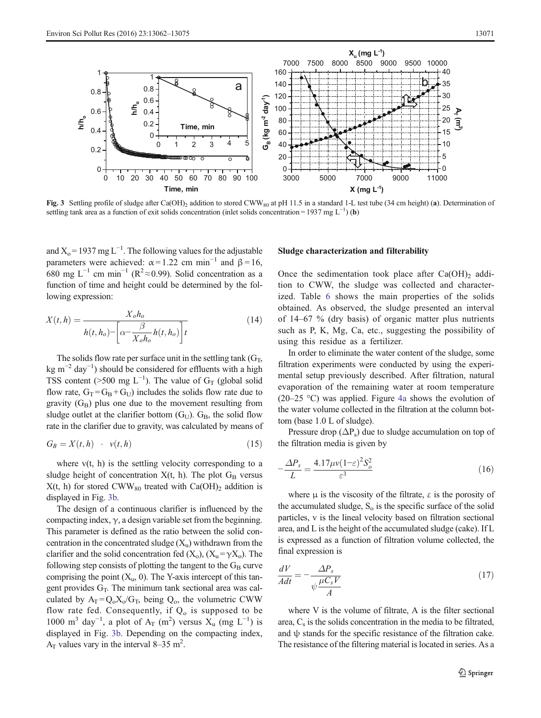

<span id="page-9-0"></span>

Fig. 3 Settling profile of sludge after Ca(OH)<sub>2</sub> addition to stored CWW<sub>80</sub> at pH 11.5 in a standard 1-L test tube (34 cm height) (a). Determination of settling tank area as a function of exit solids concentration (inlet solids concentration = 1937 mg  $L^{-1}$ ) (b)

and  $X_0$  = 1937 mg L<sup>-1</sup>. The following values for the adjustable parameters were achieved:  $\alpha$  = 1.22 cm min<sup>-1</sup> and β = 16, 680 mg L<sup>-1</sup> cm min<sup>-1</sup> (R<sup>2</sup> ≈ 0.99). Solid concentration as a function of time and height could be determined by the following expression:

$$
X(t,h) = \frac{X_o h_o}{h(t,h_o) - \left[\alpha - \frac{\beta}{X_o h_o} h(t,h_o)\right]t}
$$
(14)

The solids flow rate per surface unit in the settling tank  $(G_T,$  $kg \text{ m}^{-2}$  day<sup>-1</sup>) should be considered for effluents with a high TSS content (>500 mg  $L^{-1}$ ). The value of G<sub>T</sub> (global solid flow rate,  $G_T = G_B + G_U$  includes the solids flow rate due to gravity  $(G_B)$  plus one due to the movement resulting from sludge outlet at the clarifier bottom  $(G_U)$ .  $G_B$ , the solid flow rate in the clarifier due to gravity, was calculated by means of

$$
G_B = X(t, h) \cdot v(t, h) \tag{15}
$$

where  $v(t, h)$  is the settling velocity corresponding to a sludge height of concentration  $X(t, h)$ . The plot  $G_B$  versus  $X(t, h)$  for stored CWW<sub>80</sub> treated with Ca(OH)<sub>2</sub> addition is displayed in Fig. 3b.

The design of a continuous clarifier is influenced by the compacting index,  $\gamma$ , a design variable set from the beginning. This parameter is defined as the ratio between the solid concentration in the concentrated sludge  $(X_{ij})$  withdrawn from the clarifier and the solid concentration fed  $(X_0)$ ,  $(X_u = \gamma X_0)$ . The following step consists of plotting the tangent to the  $G_B$  curve comprising the point  $(X_u, 0)$ . The Y-axis intercept of this tangent provides  $G_T$ . The minimum tank sectional area was calculated by  $A_T = Q_0 X_0 / G_T$ , being  $Q_0$ , the volumetric CWW flow rate fed. Consequently, if  $Q<sub>o</sub>$  is supposed to be 1000 m<sup>3</sup> day<sup>-1</sup>, a plot of A<sub>T</sub> (m<sup>2</sup>) versus  $X_u$  (mg L<sup>-1</sup>) is displayed in Fig. 3b. Depending on the compacting index,  $A_T$  values vary in the interval 8–35 m<sup>2</sup>.

## Sludge characterization and filterability

Once the sedimentation took place after  $Ca(OH)_2$  addition to CWW, the sludge was collected and characterized. Table [6](#page-10-0) shows the main properties of the solids obtained. As observed, the sludge presented an interval of 14–67 % (dry basis) of organic matter plus nutrients such as P, K, Mg, Ca, etc., suggesting the possibility of using this residue as a fertilizer.

In order to eliminate the water content of the sludge, some filtration experiments were conducted by using the experimental setup previously described. After filtration, natural evaporation of the remaining water at room temperature (20–25 °C) was applied. Figure [4a](#page-11-0) shows the evolution of the water volume collected in the filtration at the column bottom (base 1.0 L of sludge).

Pressure drop ( $\Delta P_s$ ) due to sludge accumulation on top of the filtration media is given by

$$
-\frac{\Delta P_s}{L} = \frac{4.17\mu v (1-\varepsilon)^2 S_o^2}{\varepsilon^3} \tag{16}
$$

where  $\mu$  is the viscosity of the filtrate,  $\varepsilon$  is the porosity of the accumulated sludge,  $S_0$  is the specific surface of the solid particles, v is the lineal velocity based on filtration sectional area, and L is the height of the accumulated sludge (cake). If L is expressed as a function of filtration volume collected, the final expression is

$$
\frac{dV}{Adt} = -\frac{\Delta P_s}{\psi \frac{\mu C_s V}{A}}\tag{17}
$$

where V is the volume of filtrate, A is the filter sectional area,  $C_s$  is the solids concentration in the media to be filtrated. and  $\psi$  stands for the specific resistance of the filtration cake. The resistance of the filtering material is located in series. As a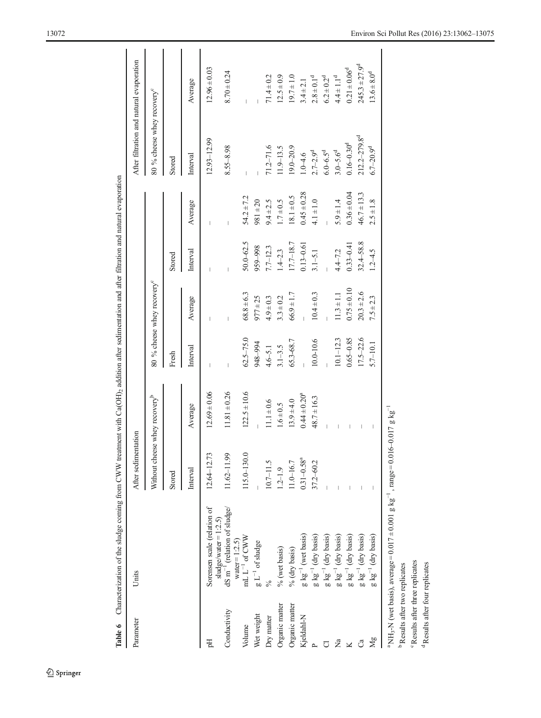<span id="page-10-0"></span>

| $12.64 - 12.73$<br>11.62-11.99<br>115.0-130.0<br>$0.31 - 0.58$ <sup>a</sup><br>$10.7 - 11.5$<br>$11.0 - 16.7$<br>$1.2 - 1.9$<br>Interval<br>Stored<br>$dS \text{ m}^{-1}$ (relation of sludge/<br>Sorensen scale (relation of<br>$sludge/water = 1:2.5$<br>$g kg^{-1}$ (wet basis)<br>water = 1:2.5)<br>mL $L^{-1}$ of CWW<br>$g L^{-1}$ of sludge<br>$%$ (wet basis)<br>$%$ (dry basis)<br>Organic matter<br>Organic matter<br>Conductivity<br>Wet weight<br>Kjeldahl-N<br>Dry matter<br>Volume<br>Hq | $11.81 \pm 0.26$<br>$122.5 \pm 10.6$<br>$12.69 \pm 0.06$<br>Without cheese whey recovery <sup>b</sup><br>Average | Interval<br>Fresh<br>I   | 80 % cheese whey recovery <sup>c</sup> |               |                                |                                        |                               |
|--------------------------------------------------------------------------------------------------------------------------------------------------------------------------------------------------------------------------------------------------------------------------------------------------------------------------------------------------------------------------------------------------------------------------------------------------------------------------------------------------------|------------------------------------------------------------------------------------------------------------------|--------------------------|----------------------------------------|---------------|--------------------------------|----------------------------------------|-------------------------------|
|                                                                                                                                                                                                                                                                                                                                                                                                                                                                                                        |                                                                                                                  |                          |                                        |               |                                | 80 % cheese whey recovery <sup>c</sup> |                               |
|                                                                                                                                                                                                                                                                                                                                                                                                                                                                                                        |                                                                                                                  |                          |                                        | Stored        |                                | Stored                                 |                               |
|                                                                                                                                                                                                                                                                                                                                                                                                                                                                                                        |                                                                                                                  |                          | Average                                | Interval      | Average                        | Interval                               | Average                       |
|                                                                                                                                                                                                                                                                                                                                                                                                                                                                                                        |                                                                                                                  |                          | I                                      | ı             | I                              | $12.93 - 12.99$                        | $12.96 \pm 0.03$              |
|                                                                                                                                                                                                                                                                                                                                                                                                                                                                                                        |                                                                                                                  | $\overline{\phantom{a}}$ |                                        |               | $\begin{array}{c} \end{array}$ | $8.5 - 8.98$                           | $8.70 \pm 0.24$               |
|                                                                                                                                                                                                                                                                                                                                                                                                                                                                                                        |                                                                                                                  | $62.5 - 75.0$            | $68.8 \pm 6.3$                         | $50.0 - 62.5$ | $54.2 \pm 7.2$                 |                                        |                               |
|                                                                                                                                                                                                                                                                                                                                                                                                                                                                                                        |                                                                                                                  | 948-994                  | $977 \pm 25$                           | 959-998       | $981 \pm 20$                   |                                        |                               |
|                                                                                                                                                                                                                                                                                                                                                                                                                                                                                                        | $11.1 \pm 0.6$                                                                                                   | $4.6 - 5.1$              | $4.9 + 0.3$                            | $7.7 - 12.3$  | $9.4 \pm 2.5$                  | $71.2 - 71.6$                          | $71.4 \pm 0.2$                |
|                                                                                                                                                                                                                                                                                                                                                                                                                                                                                                        | $1.6 \pm 0.5$                                                                                                    | $3.1 - 3.5$              | $3.3 + 0.2$                            | $1.4 - 2.3$   | $1.7 \pm 0.5$                  | $11.9 - 13.5$                          | $12.5 \pm 0.9$                |
|                                                                                                                                                                                                                                                                                                                                                                                                                                                                                                        | $13.9 + 4.0$                                                                                                     | 65.3-68.7                | $66.9 \pm 1.7$                         | $17.7 - 18.7$ | $18.1 \pm 0.5$                 | $19.0 - 20.9$                          | $19.7 \pm 1.0$                |
|                                                                                                                                                                                                                                                                                                                                                                                                                                                                                                        | $0.44 \pm 0.20^a$                                                                                                |                          |                                        | $0.13 - 0.61$ | $0.45 \pm 0.28$                | $1.0 - 4.6$                            | $3.4 \pm 2.1$                 |
| $37.2 - 60.2$<br>$g\;{\rm kg}^{-1}$ (dry basis)                                                                                                                                                                                                                                                                                                                                                                                                                                                        | $48.7 \pm 16.3$                                                                                                  | $10.0 - 10.6$            | $10.4 \pm 0.3$                         | $3.1 - 5.1$   | $4.1 + 1.0$                    | $2.7 - 2.9$ <sup>d</sup>               | $2.8 \pm 0.1$ <sup>d</sup>    |
| $g\;{\rm kg}^{-1}$ (dry basis)                                                                                                                                                                                                                                                                                                                                                                                                                                                                         | I                                                                                                                |                          |                                        |               |                                | $6.0 - 6.5^d$                          | $6.2 \pm 0.2^d$               |
| $g kg^{-1}$ (dry basis)<br>$\overline{a}$                                                                                                                                                                                                                                                                                                                                                                                                                                                              |                                                                                                                  | $10.1 - 12.3$            | $11.3 \pm 1.1$                         | $4.4 - 7.2$   | $5.9 \pm 1.4$                  | $3.0 - 5.6^d$                          | $4.4 \pm 1.1^d$               |
| $g\ kg^{-1}$ (dry basis)<br>⊻                                                                                                                                                                                                                                                                                                                                                                                                                                                                          |                                                                                                                  | $0.65 - 0.85$            | $0.75 \pm 0.10$                        | $0.33 - 0.41$ | $0.36 \pm 0.04$                | $0.16 - 0.30^{d}$                      | $0.21 \pm 0.06^d$             |
| $g kg^{-1}$ (dry basis)<br>ී                                                                                                                                                                                                                                                                                                                                                                                                                                                                           | $\overline{\phantom{a}}$                                                                                         | $17.5 - 22.6$            | $20.3 + 2.6$                           | $32.4 - 58.8$ | $46.7 \pm 13.3$                | $212.2 - 279.8$ <sup>d</sup>           | $245.3 \pm 27.9$ <sup>d</sup> |
| $g kg^{-1}$ (dry basis)<br>$\mathbb{Z}^{\alpha}$                                                                                                                                                                                                                                                                                                                                                                                                                                                       | I                                                                                                                | $5.7 - 10.1$             | $7.5 \pm 2.3$                          | $1.2 - 4.5$   | $2.5 \pm 1.8$                  | $6.7 - 20.9$ <sup>d</sup>              | $13.6 \pm 8.0^d$              |

<sup>a</sup> NH<sub>3</sub>-N (wet basis), average = 0.017 ± 0.001 g kg<sup>-1</sup>, range = 0.016-0.017 g kg<sup>-1</sup> <sup>b</sup> Results after two replicates **b** Results after two replicates

<sup>c</sup> Results after three replicates <sup>e</sup> Results after three replicates

 $^{\rm d}$  Results after four replicates <sup>d</sup> Results after four replicates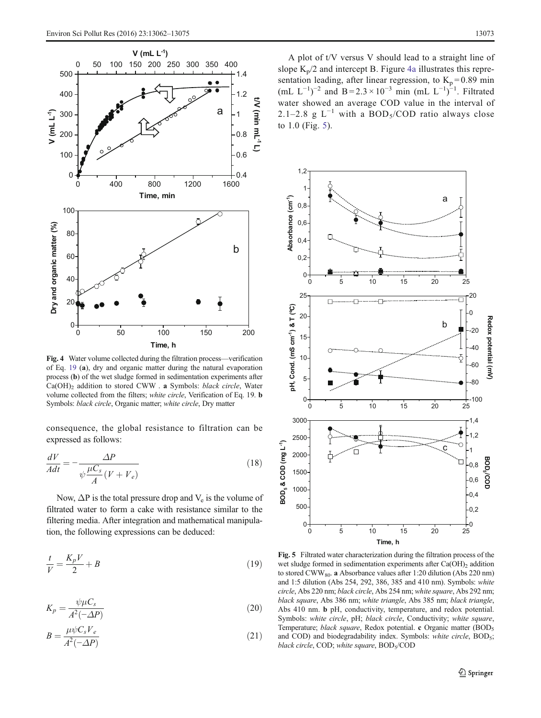<span id="page-11-0"></span>

Fig. 4 Water volume collected during the filtration process—verification of Eq. [19](#page-9-0) (a), dry and organic matter during the natural evaporation process (b) of the wet sludge formed in sedimentation experiments after Ca(OH)<sub>2</sub> addition to stored CWW . a Symbols: black circle, Water volume collected from the filters; white circle, Verification of Eq. 19. b Symbols: black circle, Organic matter; white circle, Dry matter

consequence, the global resistance to filtration can be expressed as follows:

$$
\frac{dV}{Adt} = -\frac{\Delta P}{\psi \frac{\mu C_s}{A} (V + V_e)}\tag{18}
$$

Now,  $\Delta P$  is the total pressure drop and  $V_e$  is the volume of filtrated water to form a cake with resistance similar to the filtering media. After integration and mathematical manipulation, the following expressions can be deduced:

$$
\frac{t}{V} = \frac{K_p V}{2} + B\tag{19}
$$

$$
K_p = \frac{\psi \mu C_s}{A^2(-\Delta P)}\tag{20}
$$

$$
B = \frac{\mu \psi C_s V_e}{A^2 (-\Delta P)}
$$
(21)

A plot of t/V versus V should lead to a straight line of slope  $K_p/2$  and intercept B. Figure 4a illustrates this representation leading, after linear regression, to  $K_p = 0.89$  min  $(mL L^{-1})^{-2}$  and B = 2.3 × 10<sup>-3</sup> min (mL L<sup>-1</sup>)<sup>-1</sup>. Filtrated water showed an average COD value in the interval of 2.1–2.8 g  $L^{-1}$  with a BOD<sub>5</sub>/COD ratio always close to 1.0 (Fig. 5).



Fig. 5 Filtrated water characterization during the filtration process of the wet sludge formed in sedimentation experiments after  $Ca(OH)_2$  addition to stored CWW<sub>80</sub>. a Absorbance values after 1:20 dilution (Abs 220 nm) and 1:5 dilution (Abs 254, 292, 386, 385 and 410 nm). Symbols: white circle, Abs 220 nm; black circle, Abs 254 nm; white square, Abs 292 nm; black square, Abs 386 nm; white triangle, Abs 385 nm; black triangle, Abs 410 nm. b pH, conductivity, temperature, and redox potential. Symbols: white circle, pH; black circle, Conductivity; white square, Temperature; black square, Redox potential. c Organic matter (BOD<sub>5</sub> and COD) and biodegradability index. Symbols: white circle,  $BOD<sub>5</sub>$ ; black circle, COD; white square,  $BOD<sub>5</sub>/COD$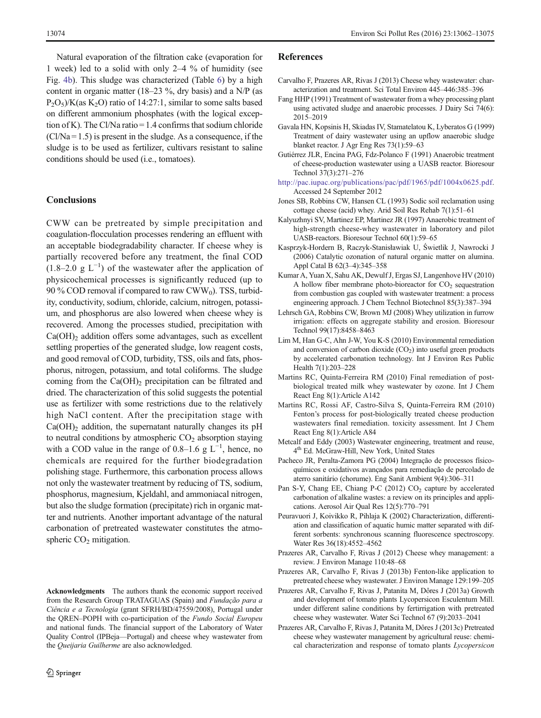<span id="page-12-0"></span>Natural evaporation of the filtration cake (evaporation for 1 week) led to a solid with only 2–4 % of humidity (see Fig. [4b\)](#page-11-0). This sludge was characterized (Table [6](#page-10-0)) by a high content in organic matter (18–23 %, dry basis) and a N/P (as  $P_2O_5$ )/K(as K<sub>2</sub>O) ratio of 14:27:1, similar to some salts based on different ammonium phosphates (with the logical exception of K). The Cl/Na ratio = 1.4 confirms that sodium chloride  $(Cl/Na = 1.5)$  is present in the sludge. As a consequence, if the sludge is to be used as fertilizer, cultivars resistant to saline conditions should be used (i.e., tomatoes).

# **Conclusions**

CWW can be pretreated by simple precipitation and coagulation-flocculation processes rendering an effluent with an acceptable biodegradability character. If cheese whey is partially recovered before any treatment, the final COD  $(1.8-2.0 \text{ g L}^{-1})$  of the wastewater after the application of physicochemical processes is significantly reduced (up to 90 % COD removal if compared to raw CWW<sub>0</sub>). TSS, turbidity, conductivity, sodium, chloride, calcium, nitrogen, potassium, and phosphorus are also lowered when cheese whey is recovered. Among the processes studied, precipitation with  $Ca(OH)_2$  addition offers some advantages, such as excellent settling properties of the generated sludge, low reagent costs, and good removal of COD, turbidity, TSS, oils and fats, phosphorus, nitrogen, potassium, and total coliforms. The sludge coming from the  $Ca(OH)_2$  precipitation can be filtrated and dried. The characterization of this solid suggests the potential use as fertilizer with some restrictions due to the relatively high NaCl content. After the precipitation stage with  $Ca(OH)_2$  addition, the supernatant naturally changes its pH to neutral conditions by atmospheric  $CO<sub>2</sub>$  absorption staying with a COD value in the range of 0.8–1.6 g  $L^{-1}$ , hence, no chemicals are required for the further biodegradation polishing stage. Furthermore, this carbonation process allows not only the wastewater treatment by reducing of TS, sodium, phosphorus, magnesium, Kjeldahl, and ammoniacal nitrogen, but also the sludge formation (precipitate) rich in organic matter and nutrients. Another important advantage of the natural carbonation of pretreated wastewater constitutes the atmospheric  $CO<sub>2</sub>$  mitigation.

Acknowledgments The authors thank the economic support received from the Research Group TRATAGUAS (Spain) and Fundação para a Ciência e a Tecnologia (grant SFRH/BD/47559/2008), Portugal under the QREN–POPH with co-participation of the Fundo Social Europeu and national funds. The financial support of the Laboratory of Water Quality Control (IPBeja—Portugal) and cheese whey wastewater from the Queijaria Guilherme are also acknowledged.

# References

- Carvalho F, Prazeres AR, Rivas J (2013) Cheese whey wastewater: characterization and treatment. Sci Total Environ 445–446:385–396
- Fang HHP (1991) Treatment of wastewater from a whey processing plant using activated sludge and anaerobic processes. J Dairy Sci 74(6): 2015–2019
- Gavala HN, Kopsinis H, Skiadas IV, Stamatelatou K, Lyberatos G (1999) Treatment of dairy wastewater using an upflow anaerobic sludge blanket reactor. J Agr Eng Res 73(1):59–63
- Gutiérrez JLR, Encina PAG, Fdz-Polanco F (1991) Anaerobic treatment of cheese-production wastewater using a UASB reactor. Bioresour Technol 37(3):271–276
- <http://pac.iupac.org/publications/pac/pdf/1965/pdf/1004x0625.pdf>. Accessed 24 September 2012
- Jones SB, Robbins CW, Hansen CL (1993) Sodic soil reclamation using cottage cheese (acid) whey. Arid Soil Res Rehab 7(1):51–61
- Kalyuzhnyi SV, Martinez EP, Martinez JR (1997) Anaerobic treatment of high-strength cheese-whey wastewater in laboratory and pilot UASB-reactors. Bioresour Technol 60(1):59–65
- Kasprzyk-Hordern B, Raczyk-Stanisławiak U, Świetlik J, Nawrocki J (2006) Catalytic ozonation of natural organic matter on alumina. Appl Catal B 62(3–4):345–358
- Kumar A, Yuan X, Sahu AK, Dewulf J, Ergas SJ, Langenhove HV (2010) A hollow fiber membrane photo-bioreactor for  $CO<sub>2</sub>$  sequestration from combustion gas coupled with wastewater treatment: a process engineering approach. J Chem Technol Biotechnol 85(3):387–394
- Lehrsch GA, Robbins CW, Brown MJ (2008) Whey utilization in furrow irrigation: effects on aggregate stability and erosion. Bioresour Technol 99(17):8458–8463
- Lim M, Han G-C, Ahn J-W, You K-S (2010) Environmental remediation and conversion of carbon dioxide  $(CO<sub>2</sub>)$  into useful green products by accelerated carbonation technology. Int J Environ Res Public Health 7(1):203–228
- Martins RC, Quinta-Ferreira RM (2010) Final remediation of postbiological treated milk whey wastewater by ozone. Int J Chem React Eng 8(1):Article A142
- Martins RC, Rossi AF, Castro-Silva S, Quinta-Ferreira RM (2010) Fenton's process for post-biologically treated cheese production wastewaters final remediation. toxicity assessment. Int J Chem React Eng 8(1):Article A84
- Metcalf and Eddy (2003) Wastewater engineering, treatment and reuse, 4th Ed. McGraw-Hill, New York, United States
- Pacheco JR, Peralta-Zamora PG (2004) Integração de processos físicoquímicos e oxidativos avançados para remediação de percolado de aterro sanitário (chorume). Eng Sanit Ambient 9(4):306–311
- Pan S-Y, Chang EE, Chiang P-C  $(2012)$  CO<sub>2</sub> capture by accelerated carbonation of alkaline wastes: a review on its principles and applications. Aerosol Air Qual Res 12(5):770–791
- Peuravuori J, Koivikko R, Pihlaja K (2002) Characterization, differentiation and classification of aquatic humic matter separated with different sorbents: synchronous scanning fluorescence spectroscopy. Water Res 36(18):4552–4562
- Prazeres AR, Carvalho F, Rivas J (2012) Cheese whey management: a review. J Environ Manage 110:48–68
- Prazeres AR, Carvalho F, Rivas J (2013b) Fenton-like application to pretreated cheese whey wastewater. J Environ Manage 129:199–205
- Prazeres AR, Carvalho F, Rivas J, Patanita M, Dôres J (2013a) Growth and development of tomato plants Lycopersicon Esculentum Mill. under different saline conditions by fertirrigation with pretreated cheese whey wastewater. Water Sci Technol 67 (9):2033–2041
- Prazeres AR, Carvalho F, Rivas J, Patanita M, Dôres J (2013c) Pretreated cheese whey wastewater management by agricultural reuse: chemical characterization and response of tomato plants Lycopersicon